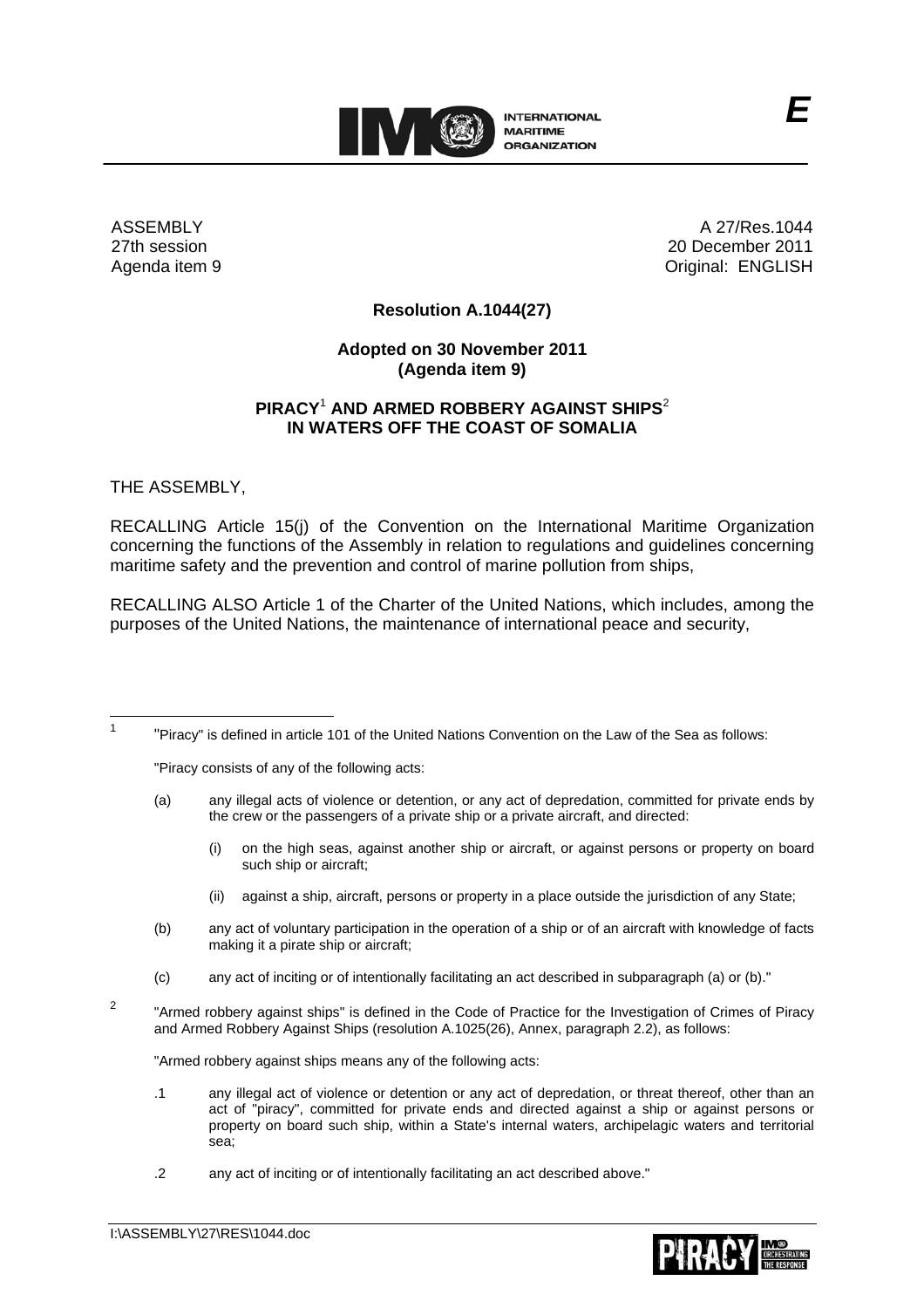

ASSEMBLY 27th session Agenda item 9

A 27/Res.1044 20 December 2011 Original: ENGLISH

*E*

## **Resolution A.1044(27)**

## **Adopted on 30 November 2011 (Agenda item 9)**

## **PIRACY**<sup>1</sup> **AND ARMED ROBBERY AGAINST SHIPS**<sup>2</sup> **IN WATERS OFF THE COAST OF SOMALIA**

THE ASSEMBLY,

RECALLING Article 15(j) of the Convention on the International Maritime Organization concerning the functions of the Assembly in relation to regulations and guidelines concerning maritime safety and the prevention and control of marine pollution from ships,

RECALLING ALSO Article 1 of the Charter of the United Nations, which includes, among the purposes of the United Nations, the maintenance of international peace and security,

 $\frac{1}{1}$ "Piracy" is defined in article 101 of the United Nations Convention on the Law of the Sea as follows:

"Piracy consists of any of the following acts:

- (a) any illegal acts of violence or detention, or any act of depredation, committed for private ends by the crew or the passengers of a private ship or a private aircraft, and directed:
	- (i) on the high seas, against another ship or aircraft, or against persons or property on board such ship or aircraft;
	- (ii) against a ship, aircraft, persons or property in a place outside the jurisdiction of any State;
- (b) any act of voluntary participation in the operation of a ship or of an aircraft with knowledge of facts making it a pirate ship or aircraft;
- (c) any act of inciting or of intentionally facilitating an act described in subparagraph (a) or (b)."
- 2 "Armed robbery against ships" is defined in the Code of Practice for the Investigation of Crimes of Piracy and Armed Robbery Against Ships (resolution A.1025(26), Annex, paragraph 2.2), as follows:

"Armed robbery against ships means any of the following acts:

- .1 any illegal act of violence or detention or any act of depredation, or threat thereof, other than an act of "piracy", committed for private ends and directed against a ship or against persons or property on board such ship, within a State's internal waters, archipelagic waters and territorial sea;
- .2 any act of inciting or of intentionally facilitating an act described above."

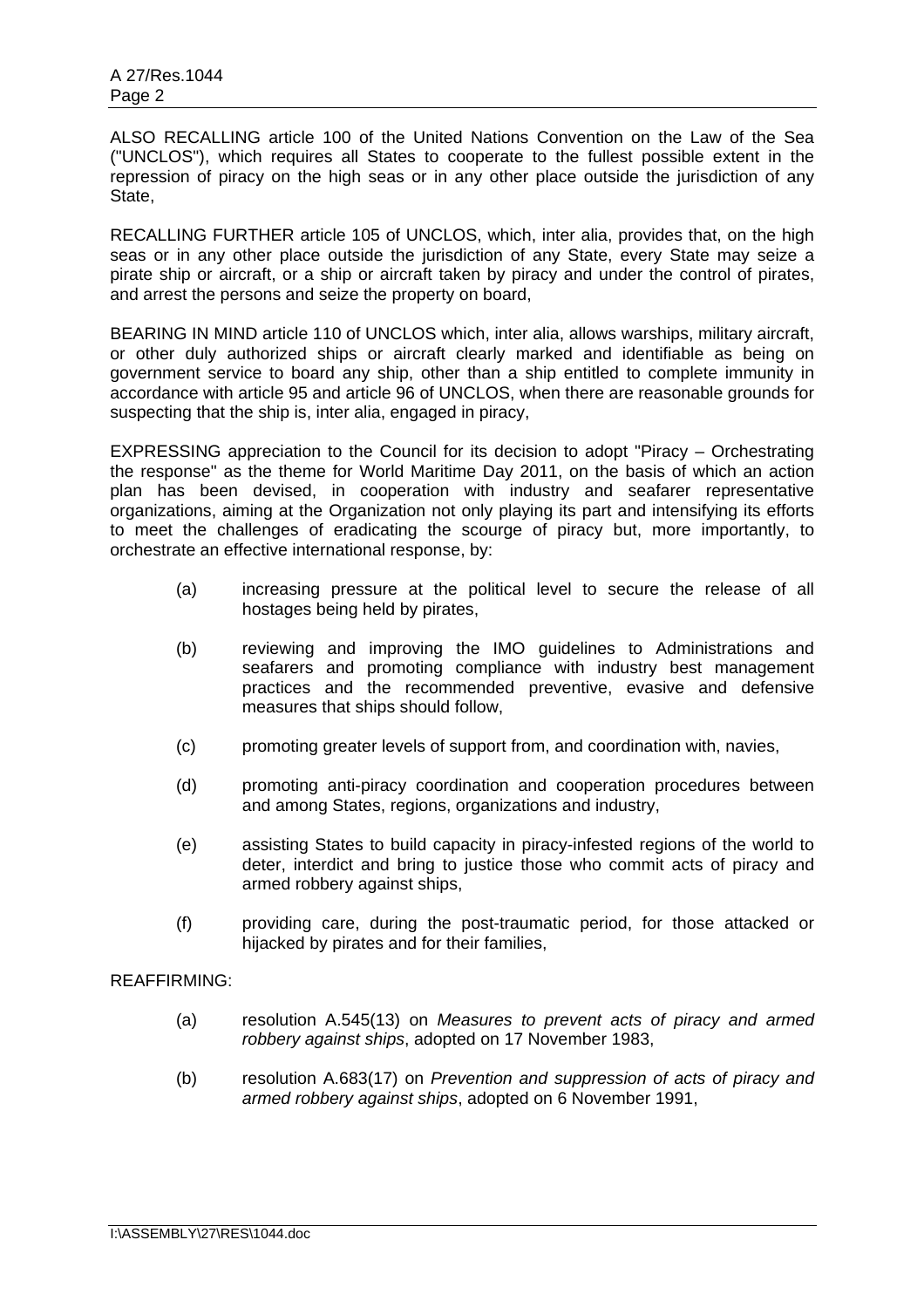ALSO RECALLING article 100 of the United Nations Convention on the Law of the Sea ("UNCLOS"), which requires all States to cooperate to the fullest possible extent in the repression of piracy on the high seas or in any other place outside the jurisdiction of any State,

RECALLING FURTHER article 105 of UNCLOS, which, inter alia, provides that, on the high seas or in any other place outside the jurisdiction of any State, every State may seize a pirate ship or aircraft, or a ship or aircraft taken by piracy and under the control of pirates, and arrest the persons and seize the property on board,

BEARING IN MIND article 110 of UNCLOS which, inter alia, allows warships, military aircraft, or other duly authorized ships or aircraft clearly marked and identifiable as being on government service to board any ship, other than a ship entitled to complete immunity in accordance with article 95 and article 96 of UNCLOS, when there are reasonable grounds for suspecting that the ship is, inter alia, engaged in piracy,

EXPRESSING appreciation to the Council for its decision to adopt "Piracy – Orchestrating the response" as the theme for World Maritime Day 2011, on the basis of which an action plan has been devised, in cooperation with industry and seafarer representative organizations, aiming at the Organization not only playing its part and intensifying its efforts to meet the challenges of eradicating the scourge of piracy but, more importantly, to orchestrate an effective international response, by:

- (a) increasing pressure at the political level to secure the release of all hostages being held by pirates,
- (b) reviewing and improving the IMO guidelines to Administrations and seafarers and promoting compliance with industry best management practices and the recommended preventive, evasive and defensive measures that ships should follow,
- (c) promoting greater levels of support from, and coordination with, navies,
- (d) promoting anti-piracy coordination and cooperation procedures between and among States, regions, organizations and industry,
- (e) assisting States to build capacity in piracy-infested regions of the world to deter, interdict and bring to justice those who commit acts of piracy and armed robbery against ships,
- (f) providing care, during the post-traumatic period, for those attacked or hijacked by pirates and for their families,

## REAFFIRMING:

- (a) resolution A.545(13) on *Measures to prevent acts of piracy and armed robbery against ships*, adopted on 17 November 1983,
- (b) resolution A.683(17) on *Prevention and suppression of acts of piracy and armed robbery against ships*, adopted on 6 November 1991,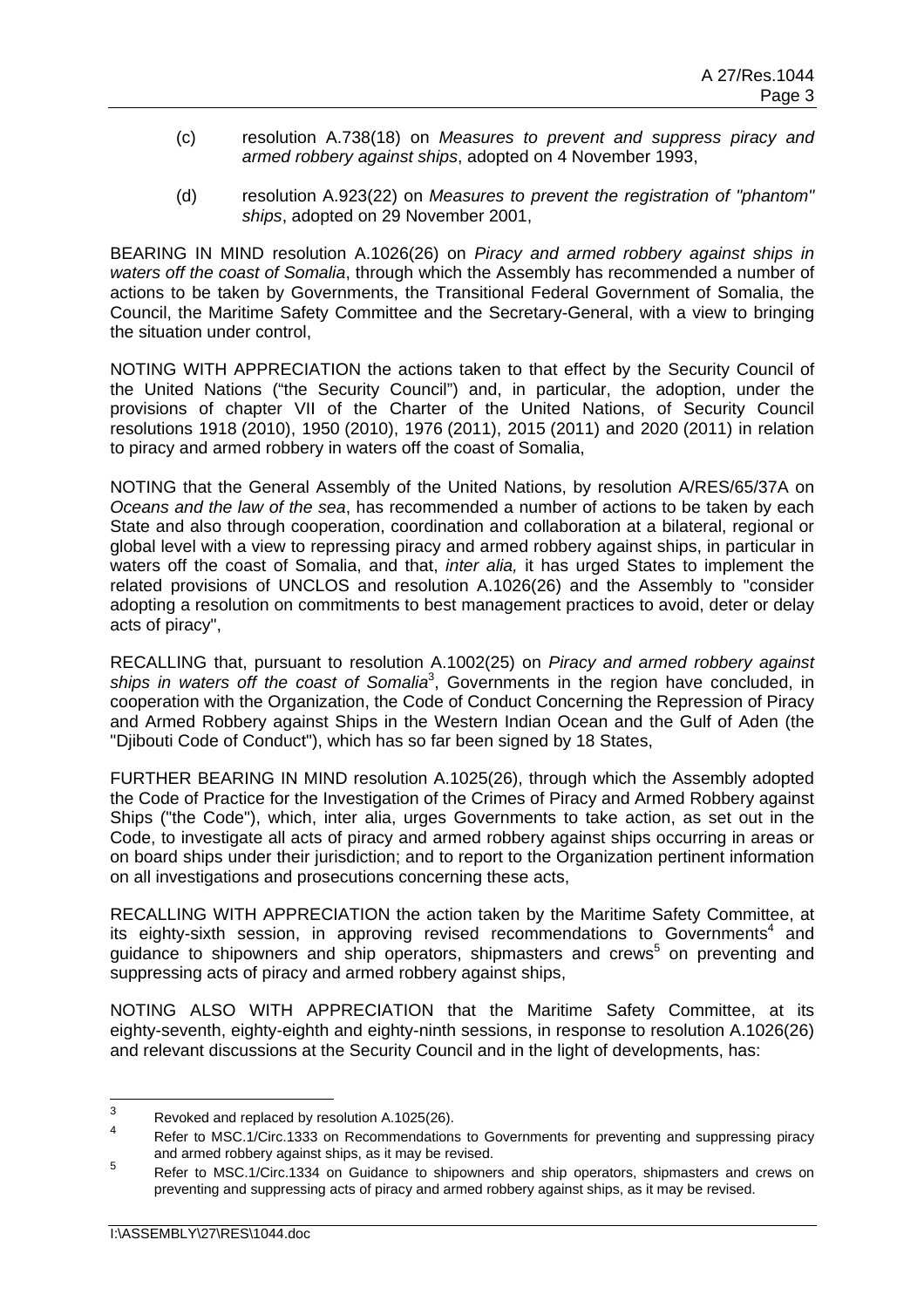- (c) resolution A.738(18) on *Measures to prevent and suppress piracy and armed robbery against ships*, adopted on 4 November 1993,
- (d) resolution A.923(22) on *Measures to prevent the registration of "phantom" ships*, adopted on 29 November 2001,

BEARING IN MIND resolution A.1026(26) on *Piracy and armed robbery against ships in waters off the coast of Somalia*, through which the Assembly has recommended a number of actions to be taken by Governments, the Transitional Federal Government of Somalia, the Council, the Maritime Safety Committee and the Secretary-General, with a view to bringing the situation under control,

NOTING WITH APPRECIATION the actions taken to that effect by the Security Council of the United Nations ("the Security Council") and, in particular, the adoption, under the provisions of chapter VII of the Charter of the United Nations, of Security Council resolutions 1918 (2010), 1950 (2010), 1976 (2011), 2015 (2011) and 2020 (2011) in relation to piracy and armed robbery in waters off the coast of Somalia,

NOTING that the General Assembly of the United Nations, by resolution A/RES/65/37A on *Oceans and the law of the sea*, has recommended a number of actions to be taken by each State and also through cooperation, coordination and collaboration at a bilateral, regional or global level with a view to repressing piracy and armed robbery against ships, in particular in waters off the coast of Somalia, and that, *inter alia,* it has urged States to implement the related provisions of UNCLOS and resolution A.1026(26) and the Assembly to "consider adopting a resolution on commitments to best management practices to avoid, deter or delay acts of piracy",

RECALLING that, pursuant to resolution A.1002(25) on *Piracy and armed robbery against*  ships in waters off the coast of Somalia<sup>3</sup>, Governments in the region have concluded, in cooperation with the Organization, the Code of Conduct Concerning the Repression of Piracy and Armed Robbery against Ships in the Western Indian Ocean and the Gulf of Aden (the "Diibouti Code of Conduct"), which has so far been signed by 18 States,

FURTHER BEARING IN MIND resolution A.1025(26), through which the Assembly adopted the Code of Practice for the Investigation of the Crimes of Piracy and Armed Robbery against Ships ("the Code"), which, inter alia, urges Governments to take action, as set out in the Code, to investigate all acts of piracy and armed robbery against ships occurring in areas or on board ships under their jurisdiction; and to report to the Organization pertinent information on all investigations and prosecutions concerning these acts,

RECALLING WITH APPRECIATION the action taken by the Maritime Safety Committee, at its eighty-sixth session, in approving revised recommendations to Governments<sup>4</sup> and guidance to shipowners and ship operators, shipmasters and crews<sup>5</sup> on preventing and suppressing acts of piracy and armed robbery against ships,

NOTING ALSO WITH APPRECIATION that the Maritime Safety Committee, at its eighty-seventh, eighty-eighth and eighty-ninth sessions, in response to resolution A.1026(26) and relevant discussions at the Security Council and in the light of developments, has:

<sup>-&</sup>lt;br>3 Revoked and replaced by resolution A.1025(26).

<sup>4</sup> Refer to MSC.1/Circ.1333 on Recommendations to Governments for preventing and suppressing piracy and armed robbery against ships, as it may be revised.

<sup>5</sup> Refer to MSC.1/Circ.1334 on Guidance to shipowners and ship operators, shipmasters and crews on preventing and suppressing acts of piracy and armed robbery against ships, as it may be revised.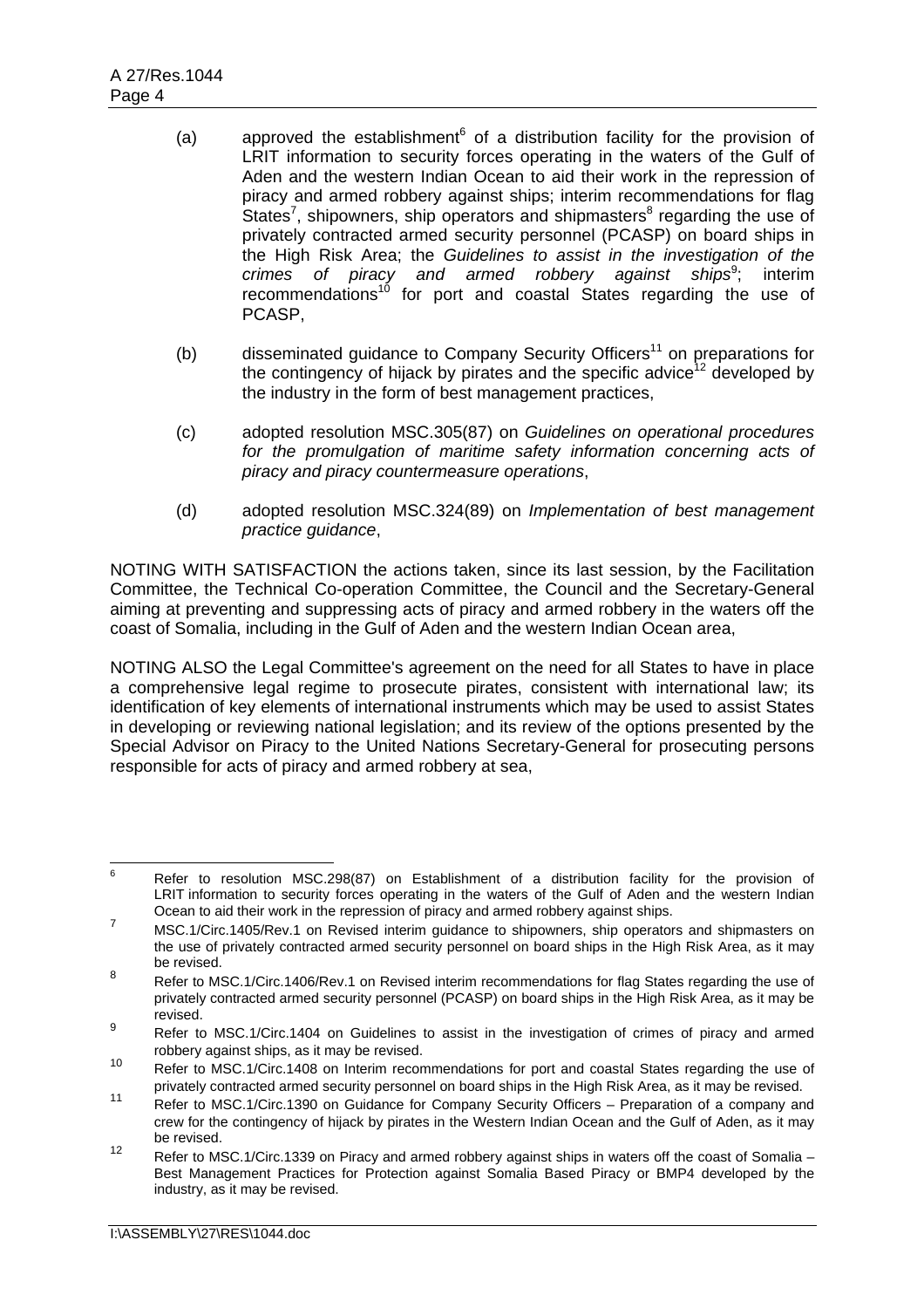- (a) approved the establishment $6$  of a distribution facility for the provision of LRIT information to security forces operating in the waters of the Gulf of Aden and the western Indian Ocean to aid their work in the repression of piracy and armed robbery against ships; interim recommendations for flag States<sup>7</sup>, shipowners, ship operators and shipmasters<sup>8</sup> regarding the use of privately contracted armed security personnel (PCASP) on board ships in the High Risk Area; the *Guidelines to assist in the investigation of the crimes of piracy and armed robbery against ships*<sup>9</sup>; ; interim recommendations<sup>10</sup> for port and coastal States regarding the use of PCASP,
- (b) disseminated guidance to Company Security Officers<sup>11</sup> on preparations for the contingency of hijack by pirates and the specific advice  $12$  developed by the industry in the form of best management practices,
- (c) adopted resolution MSC.305(87) on *Guidelines on operational procedures for the promulgation of maritime safety information concerning acts of piracy and piracy countermeasure operations*,
- (d) adopted resolution MSC.324(89) on *Implementation of best management practice guidance*,

NOTING WITH SATISFACTION the actions taken, since its last session, by the Facilitation Committee, the Technical Co-operation Committee, the Council and the Secretary-General aiming at preventing and suppressing acts of piracy and armed robbery in the waters off the coast of Somalia, including in the Gulf of Aden and the western Indian Ocean area,

NOTING ALSO the Legal Committee's agreement on the need for all States to have in place a comprehensive legal regime to prosecute pirates, consistent with international law; its identification of key elements of international instruments which may be used to assist States in developing or reviewing national legislation; and its review of the options presented by the Special Advisor on Piracy to the United Nations Secretary-General for prosecuting persons responsible for acts of piracy and armed robbery at sea,

<sup>—&</sup>lt;br>6 Refer to resolution MSC.298(87) on Establishment of a distribution facility for the provision of LRIT information to security forces operating in the waters of the Gulf of Aden and the western Indian Ocean to aid their work in the repression of piracy and armed robbery against ships.

<sup>&</sup>lt;sup>7</sup> MSC.1/Circ.1405/Rev.1 on Revised interim guidance to shipowners, ship operators and shipmasters on the use of privately contracted armed security personnel on board ships in the High Risk Area, as it may be revised.

<sup>8</sup> Refer to MSC.1/Circ.1406/Rev.1 on Revised interim recommendations for flag States regarding the use of privately contracted armed security personnel (PCASP) on board ships in the High Risk Area, as it may be revised.

<sup>9</sup> Refer to MSC.1/Circ.1404 on Guidelines to assist in the investigation of crimes of piracy and armed robbery against ships, as it may be revised.

<sup>10</sup> Refer to MSC.1/Circ.1408 on Interim recommendations for port and coastal States regarding the use of privately contracted armed security personnel on board ships in the High Risk Area, as it may be revised.

<sup>11</sup> Refer to MSC.1/Circ.1390 on Guidance for Company Security Officers – Preparation of a company and crew for the contingency of hijack by pirates in the Western Indian Ocean and the Gulf of Aden, as it may be revised.

<sup>12</sup> Refer to MSC.1/Circ.1339 on Piracy and armed robbery against ships in waters off the coast of Somalia – Best Management Practices for Protection against Somalia Based Piracy or BMP4 developed by the industry, as it may be revised.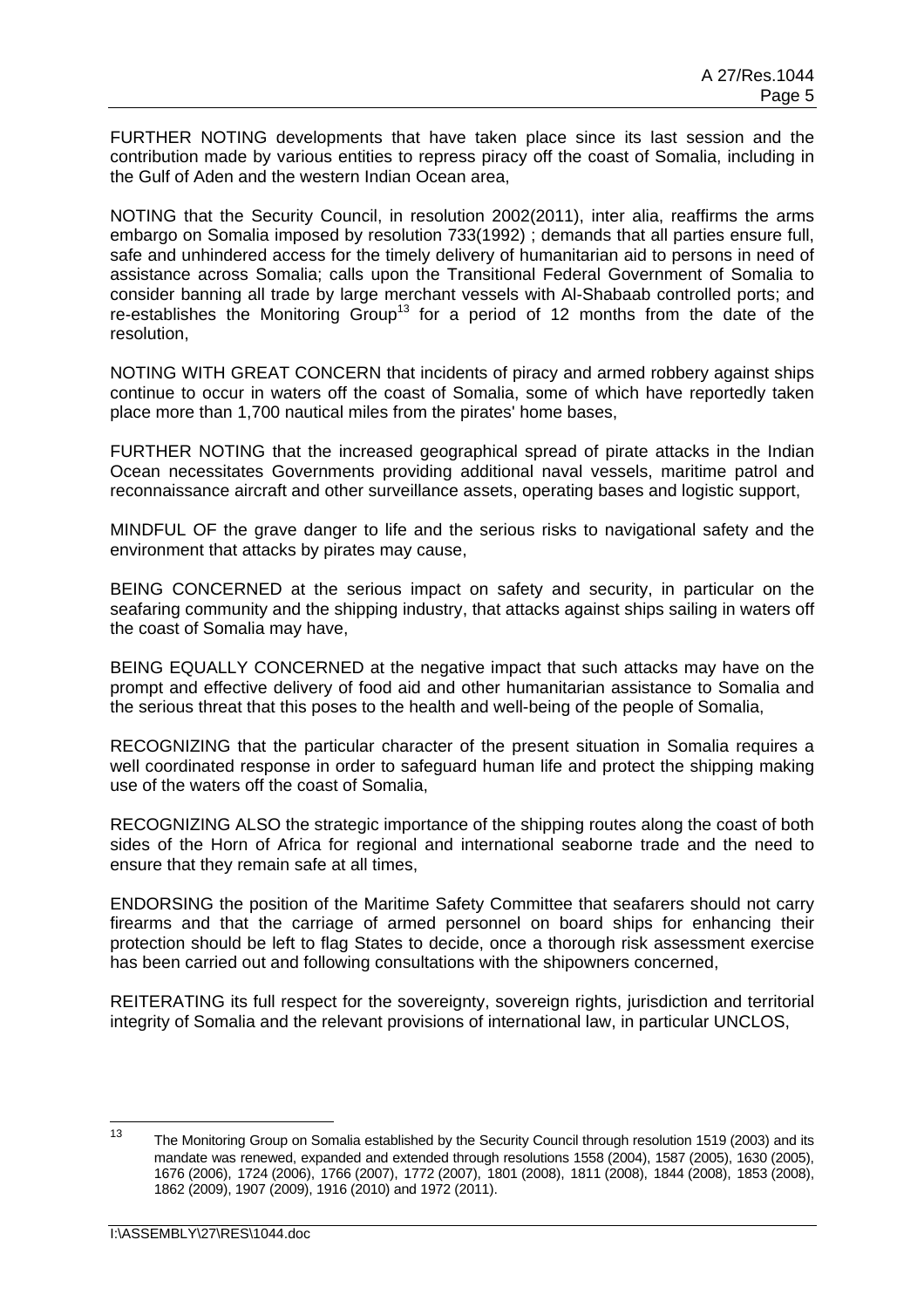FURTHER NOTING developments that have taken place since its last session and the contribution made by various entities to repress piracy off the coast of Somalia, including in the Gulf of Aden and the western Indian Ocean area,

NOTING that the Security Council, in resolution 2002(2011), inter alia, reaffirms the arms embargo on Somalia imposed by resolution 733(1992) ; demands that all parties ensure full. safe and unhindered access for the timely delivery of humanitarian aid to persons in need of assistance across Somalia; calls upon the Transitional Federal Government of Somalia to consider banning all trade by large merchant vessels with Al-Shabaab controlled ports; and re-establishes the Monitoring Group<sup>13</sup> for a period of 12 months from the date of the resolution,

NOTING WITH GREAT CONCERN that incidents of piracy and armed robbery against ships continue to occur in waters off the coast of Somalia, some of which have reportedly taken place more than 1,700 nautical miles from the pirates' home bases,

FURTHER NOTING that the increased geographical spread of pirate attacks in the Indian Ocean necessitates Governments providing additional naval vessels, maritime patrol and reconnaissance aircraft and other surveillance assets, operating bases and logistic support,

MINDFUL OF the grave danger to life and the serious risks to navigational safety and the environment that attacks by pirates may cause,

BEING CONCERNED at the serious impact on safety and security, in particular on the seafaring community and the shipping industry, that attacks against ships sailing in waters off the coast of Somalia may have,

BEING EQUALLY CONCERNED at the negative impact that such attacks may have on the prompt and effective delivery of food aid and other humanitarian assistance to Somalia and the serious threat that this poses to the health and well-being of the people of Somalia,

RECOGNIZING that the particular character of the present situation in Somalia requires a well coordinated response in order to safeguard human life and protect the shipping making use of the waters off the coast of Somalia,

RECOGNIZING ALSO the strategic importance of the shipping routes along the coast of both sides of the Horn of Africa for regional and international seaborne trade and the need to ensure that they remain safe at all times,

ENDORSING the position of the Maritime Safety Committee that seafarers should not carry firearms and that the carriage of armed personnel on board ships for enhancing their protection should be left to flag States to decide, once a thorough risk assessment exercise has been carried out and following consultations with the shipowners concerned,

REITERATING its full respect for the sovereignty, sovereign rights, jurisdiction and territorial integrity of Somalia and the relevant provisions of international law, in particular UNCLOS,

 $13$ The Monitoring Group on Somalia established by the Security Council through resolution 1519 (2003) and its mandate was renewed, expanded and extended through resolutions 1558 (2004), 1587 (2005), 1630 (2005), 1676 (2006), 1724 (2006), 1766 (2007), 1772 (2007), 1801 (2008), 1811 (2008), 1844 (2008), 1853 (2008), 1862 (2009), 1907 (2009), 1916 (2010) and 1972 (2011).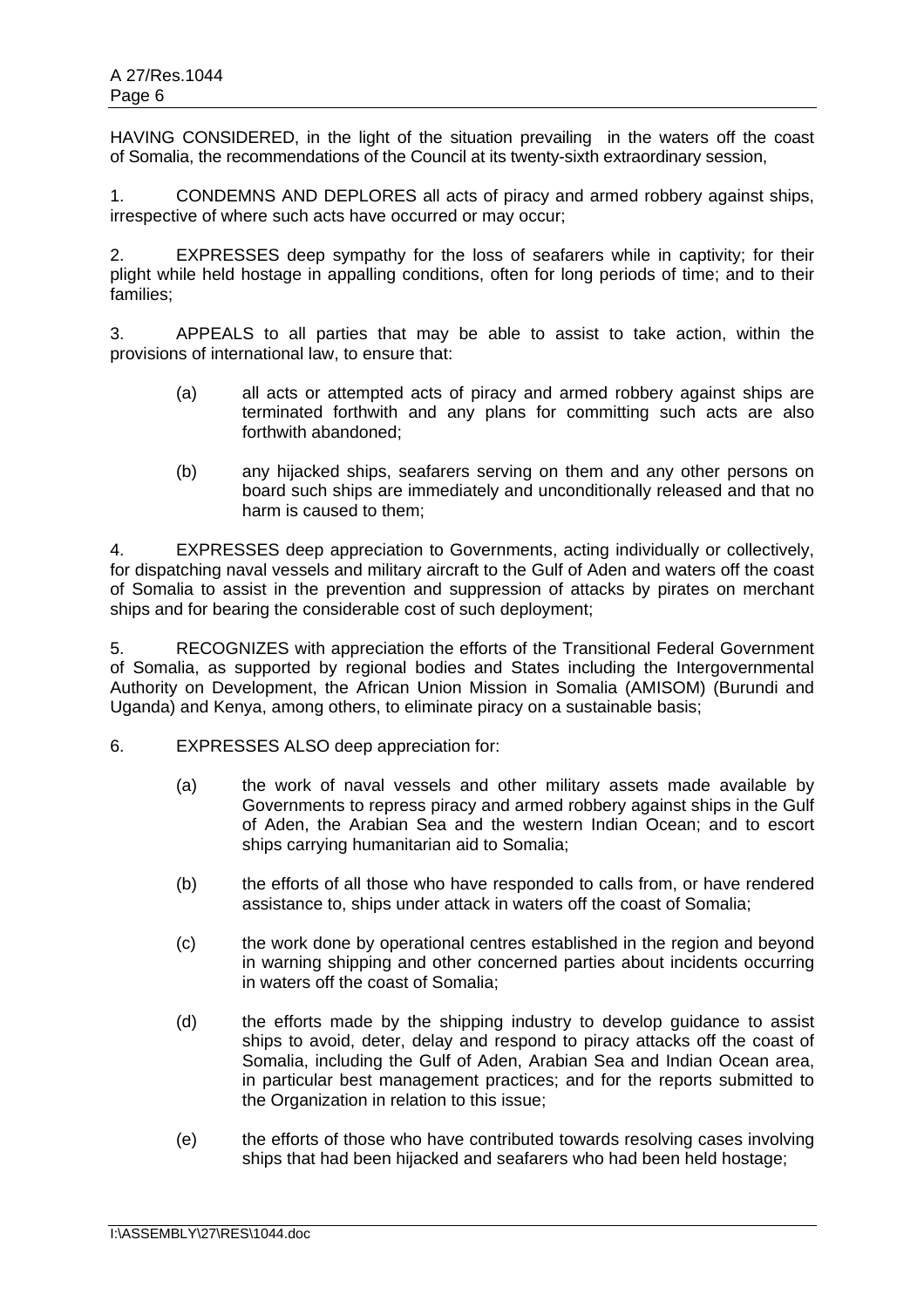HAVING CONSIDERED, in the light of the situation prevailing in the waters off the coast of Somalia, the recommendations of the Council at its twenty-sixth extraordinary session,

1. CONDEMNS AND DEPLORES all acts of piracy and armed robbery against ships, irrespective of where such acts have occurred or may occur;

2. EXPRESSES deep sympathy for the loss of seafarers while in captivity; for their plight while held hostage in appalling conditions, often for long periods of time; and to their families;

3. APPEALS to all parties that may be able to assist to take action, within the provisions of international law, to ensure that:

- (a) all acts or attempted acts of piracy and armed robbery against ships are terminated forthwith and any plans for committing such acts are also forthwith abandoned;
- (b) any hijacked ships, seafarers serving on them and any other persons on board such ships are immediately and unconditionally released and that no harm is caused to them;

4. EXPRESSES deep appreciation to Governments, acting individually or collectively, for dispatching naval vessels and military aircraft to the Gulf of Aden and waters off the coast of Somalia to assist in the prevention and suppression of attacks by pirates on merchant ships and for bearing the considerable cost of such deployment;

5. RECOGNIZES with appreciation the efforts of the Transitional Federal Government of Somalia, as supported by regional bodies and States including the Intergovernmental Authority on Development, the African Union Mission in Somalia (AMISOM) (Burundi and Uganda) and Kenya, among others, to eliminate piracy on a sustainable basis;

- 6. EXPRESSES ALSO deep appreciation for:
	- (a) the work of naval vessels and other military assets made available by Governments to repress piracy and armed robbery against ships in the Gulf of Aden, the Arabian Sea and the western Indian Ocean; and to escort ships carrying humanitarian aid to Somalia;
	- (b) the efforts of all those who have responded to calls from, or have rendered assistance to, ships under attack in waters off the coast of Somalia;
	- (c) the work done by operational centres established in the region and beyond in warning shipping and other concerned parties about incidents occurring in waters off the coast of Somalia;
	- (d) the efforts made by the shipping industry to develop guidance to assist ships to avoid, deter, delay and respond to piracy attacks off the coast of Somalia, including the Gulf of Aden, Arabian Sea and Indian Ocean area, in particular best management practices; and for the reports submitted to the Organization in relation to this issue;
	- (e) the efforts of those who have contributed towards resolving cases involving ships that had been hijacked and seafarers who had been held hostage;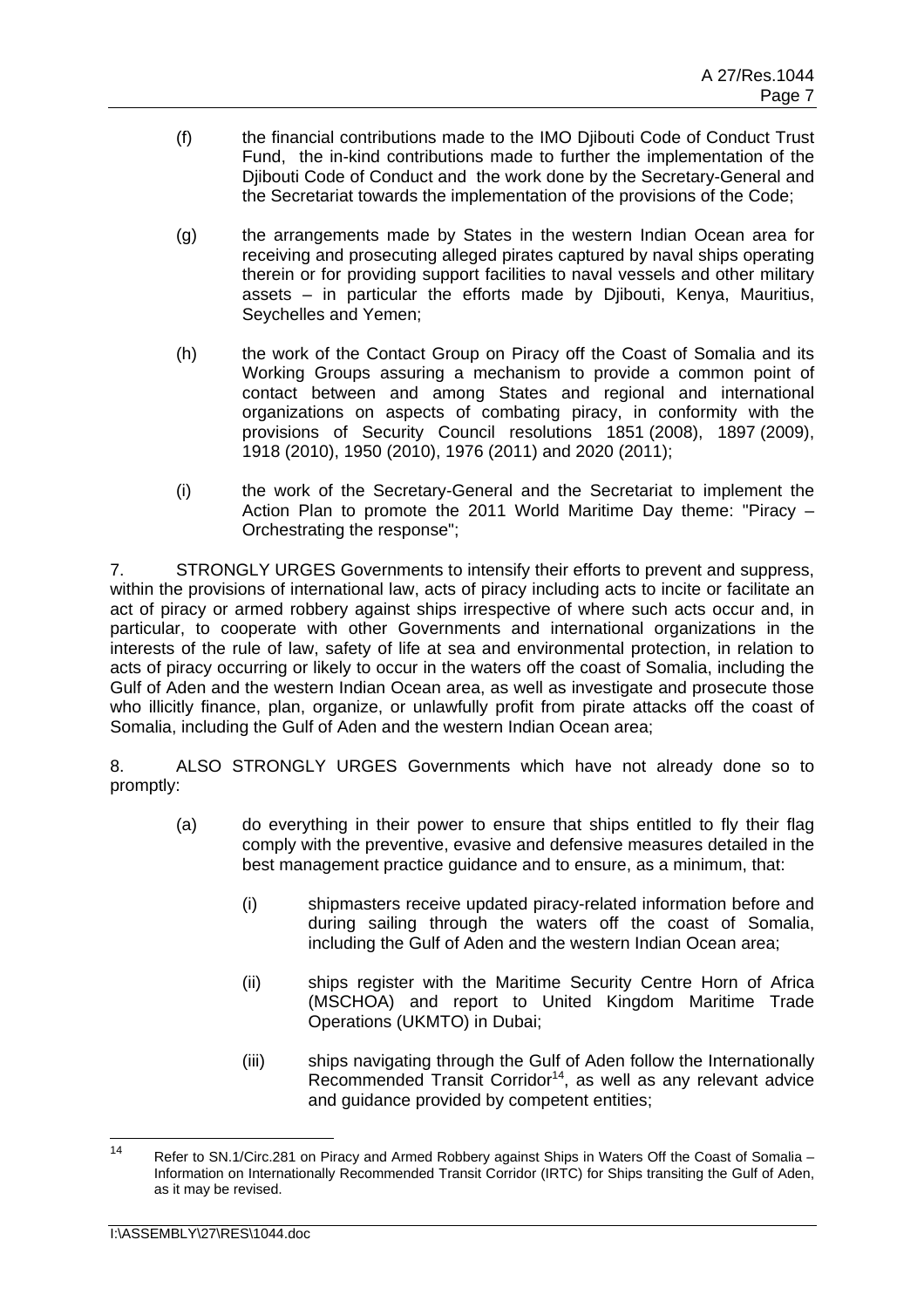- (f) the financial contributions made to the IMO Djibouti Code of Conduct Trust Fund, the in-kind contributions made to further the implementation of the Djibouti Code of Conduct and the work done by the Secretary-General and the Secretariat towards the implementation of the provisions of the Code;
- (g) the arrangements made by States in the western Indian Ocean area for receiving and prosecuting alleged pirates captured by naval ships operating therein or for providing support facilities to naval vessels and other military assets – in particular the efforts made by Djibouti, Kenya, Mauritius, Seychelles and Yemen;
- (h) the work of the Contact Group on Piracy off the Coast of Somalia and its Working Groups assuring a mechanism to provide a common point of contact between and among States and regional and international organizations on aspects of combating piracy, in conformity with the provisions of Security Council resolutions 1851 (2008), 1897 (2009), 1918 (2010), 1950 (2010), 1976 (2011) and 2020 (2011);
- (i) the work of the Secretary-General and the Secretariat to implement the Action Plan to promote the 2011 World Maritime Day theme: "Piracy – Orchestrating the response";

7. STRONGLY URGES Governments to intensify their efforts to prevent and suppress, within the provisions of international law, acts of piracy including acts to incite or facilitate an act of piracy or armed robbery against ships irrespective of where such acts occur and, in particular, to cooperate with other Governments and international organizations in the interests of the rule of law, safety of life at sea and environmental protection, in relation to acts of piracy occurring or likely to occur in the waters off the coast of Somalia, including the Gulf of Aden and the western Indian Ocean area, as well as investigate and prosecute those who illicitly finance, plan, organize, or unlawfully profit from pirate attacks off the coast of Somalia, including the Gulf of Aden and the western Indian Ocean area;

8. ALSO STRONGLY URGES Governments which have not already done so to promptly:

- (a) do everything in their power to ensure that ships entitled to fly their flag comply with the preventive, evasive and defensive measures detailed in the best management practice guidance and to ensure, as a minimum, that:
	- (i) shipmasters receive updated piracy-related information before and during sailing through the waters off the coast of Somalia, including the Gulf of Aden and the western Indian Ocean area;
	- (ii) ships register with the Maritime Security Centre Horn of Africa (MSCHOA) and report to United Kingdom Maritime Trade Operations (UKMTO) in Dubai;
	- (iii) ships navigating through the Gulf of Aden follow the Internationally Recommended Transit Corridor<sup>14</sup>, as well as any relevant advice and guidance provided by competent entities;

 $14$ Refer to SN.1/Circ.281 on Piracy and Armed Robbery against Ships in Waters Off the Coast of Somalia – Information on Internationally Recommended Transit Corridor (IRTC) for Ships transiting the Gulf of Aden, as it may be revised.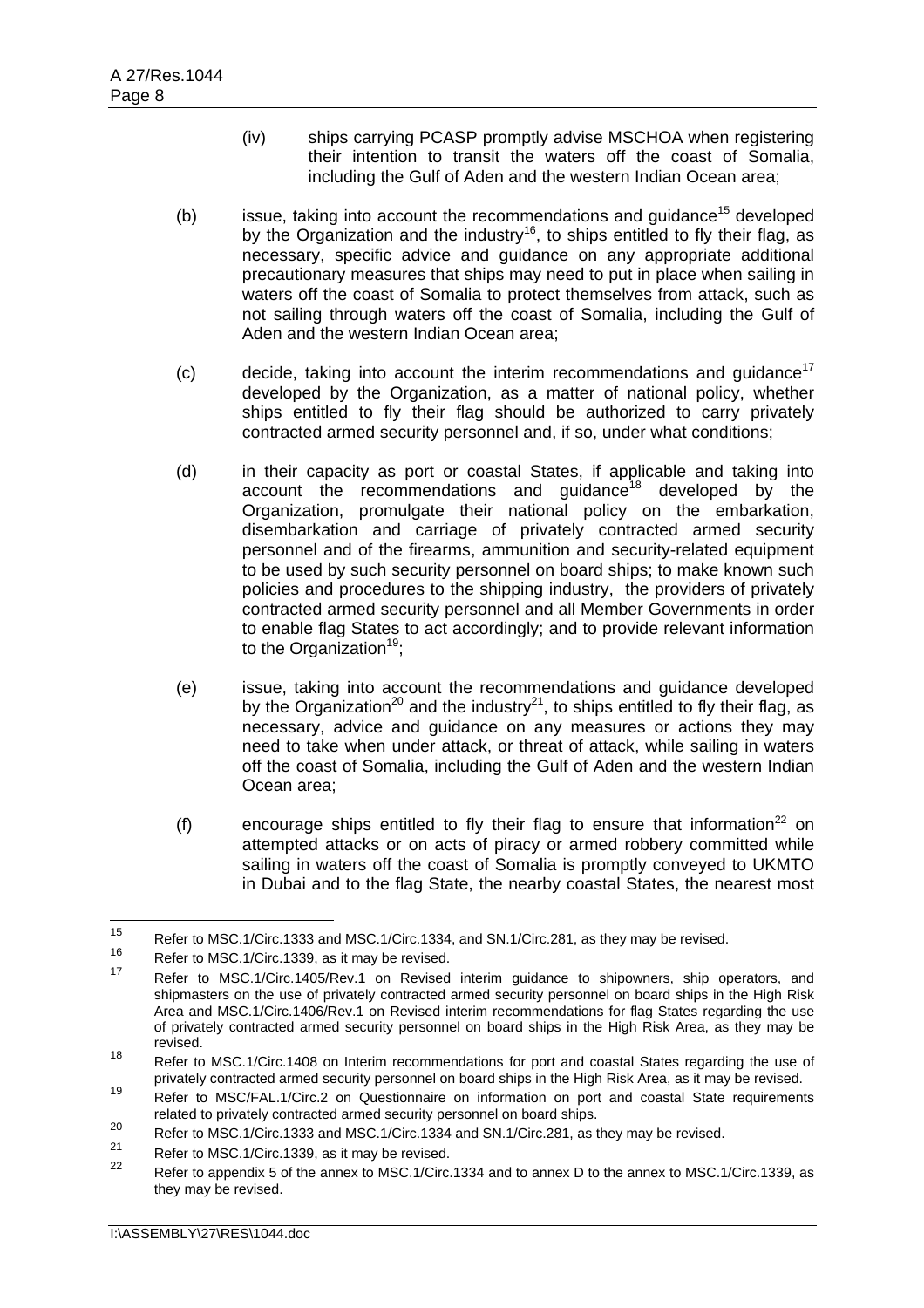- (iv) ships carrying PCASP promptly advise MSCHOA when registering their intention to transit the waters off the coast of Somalia, including the Gulf of Aden and the western Indian Ocean area;
- (b) issue, taking into account the recommendations and quidance<sup>15</sup> developed by the Organization and the industry<sup>16</sup>, to ships entitled to fly their flag, as necessary, specific advice and guidance on any appropriate additional precautionary measures that ships may need to put in place when sailing in waters off the coast of Somalia to protect themselves from attack, such as not sailing through waters off the coast of Somalia, including the Gulf of Aden and the western Indian Ocean area;
- (c) decide, taking into account the interim recommendations and guidance<sup>17</sup> developed by the Organization, as a matter of national policy, whether ships entitled to fly their flag should be authorized to carry privately contracted armed security personnel and, if so, under what conditions;
- (d) in their capacity as port or coastal States, if applicable and taking into account the recommendations and guidance<sup>18</sup> developed by the Organization, promulgate their national policy on the embarkation, disembarkation and carriage of privately contracted armed security personnel and of the firearms, ammunition and security-related equipment to be used by such security personnel on board ships; to make known such policies and procedures to the shipping industry, the providers of privately contracted armed security personnel and all Member Governments in order to enable flag States to act accordingly; and to provide relevant information to the Organization<sup>19</sup>;
- (e) issue, taking into account the recommendations and guidance developed by the Organization<sup>20</sup> and the industry<sup>21</sup>, to ships entitled to fly their flag, as necessary, advice and guidance on any measures or actions they may need to take when under attack, or threat of attack, while sailing in waters off the coast of Somalia, including the Gulf of Aden and the western Indian Ocean area;
- (f) encourage ships entitled to fly their flag to ensure that information<sup>22</sup> on attempted attacks or on acts of piracy or armed robbery committed while sailing in waters off the coast of Somalia is promptly conveyed to UKMTO in Dubai and to the flag State, the nearby coastal States, the nearest most

 $15$ <sup>15</sup> Refer to MSC.1/Circ.1333 and MSC.1/Circ.1334, and SN.1/Circ.281, as they may be revised.

<sup>&</sup>lt;sup>16</sup> Refer to MSC.1/Circ.1339, as it may be revised.

Refer to MSC.1/Circ.1405/Rev.1 on Revised interim guidance to shipowners, ship operators, and shipmasters on the use of privately contracted armed security personnel on board ships in the High Risk Area and MSC.1/Circ.1406/Rev.1 on Revised interim recommendations for flag States regarding the use of privately contracted armed security personnel on board ships in the High Risk Area, as they may be revised.

<sup>18</sup> Refer to MSC.1/Circ.1408 on Interim recommendations for port and coastal States regarding the use of privately contracted armed security personnel on board ships in the High Risk Area, as it may be revised.

<sup>19</sup> Refer to MSC/FAL.1/Circ.2 on Questionnaire on information on port and coastal State requirements related to privately contracted armed security personnel on board ships.

<sup>&</sup>lt;sup>20</sup> Refer to MSC.1/Circ.1333 and MSC.1/Circ.1334 and SN.1/Circ.281, as they may be revised.

<sup>&</sup>lt;sup>21</sup> Refer to MSC.1/Circ.1339, as it may be revised.

<sup>22</sup> Refer to appendix 5 of the annex to MSC.1/Circ.1334 and to annex D to the annex to MSC.1/Circ.1339, as they may be revised.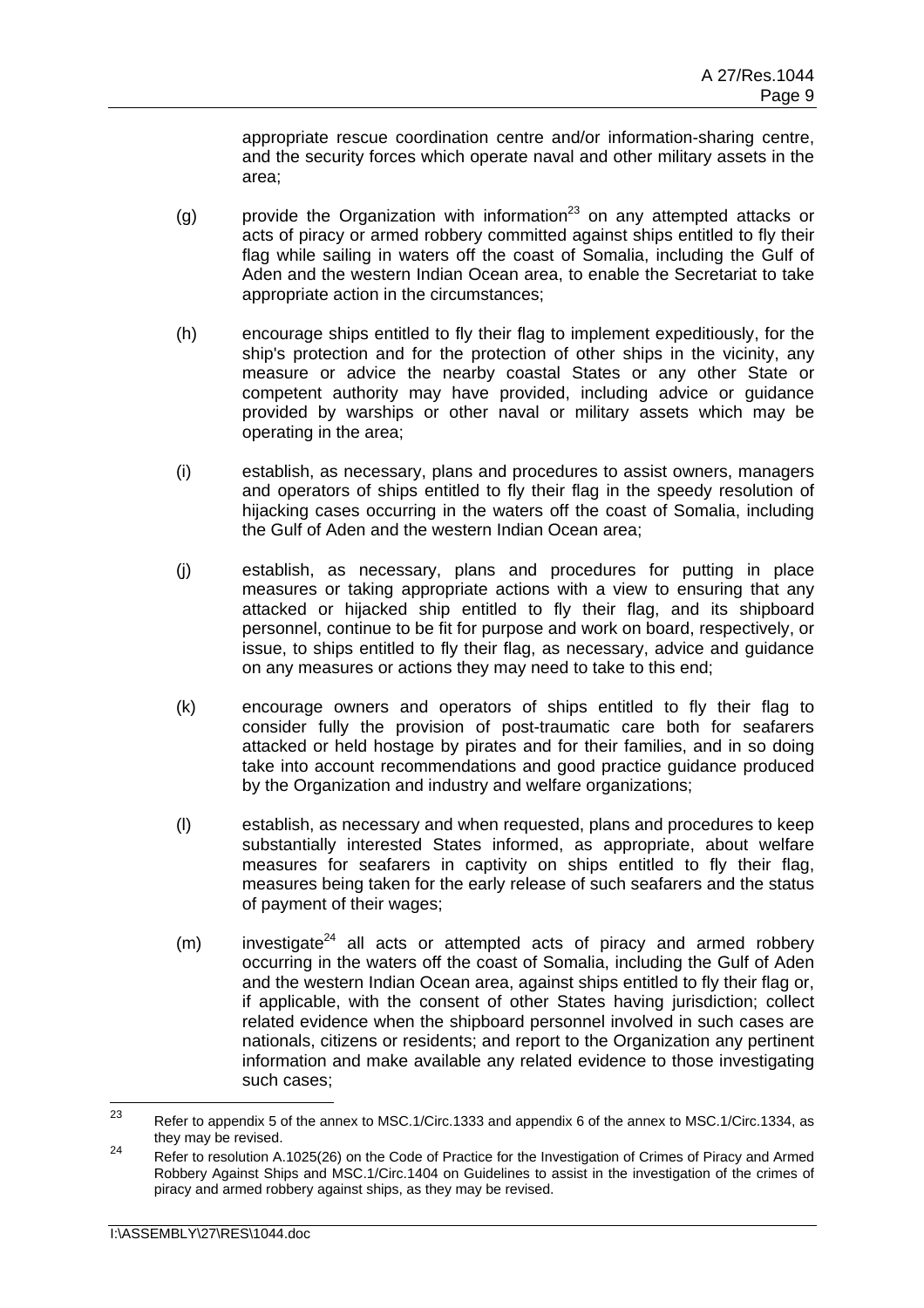appropriate rescue coordination centre and/or information-sharing centre, and the security forces which operate naval and other military assets in the area;

- (g) provide the Organization with information<sup>23</sup> on any attempted attacks or acts of piracy or armed robbery committed against ships entitled to fly their flag while sailing in waters off the coast of Somalia, including the Gulf of Aden and the western Indian Ocean area, to enable the Secretariat to take appropriate action in the circumstances;
- (h) encourage ships entitled to fly their flag to implement expeditiously, for the ship's protection and for the protection of other ships in the vicinity, any measure or advice the nearby coastal States or any other State or competent authority may have provided, including advice or guidance provided by warships or other naval or military assets which may be operating in the area;
- (i) establish, as necessary, plans and procedures to assist owners, managers and operators of ships entitled to fly their flag in the speedy resolution of hijacking cases occurring in the waters off the coast of Somalia, including the Gulf of Aden and the western Indian Ocean area;
- (j) establish, as necessary, plans and procedures for putting in place measures or taking appropriate actions with a view to ensuring that any attacked or hijacked ship entitled to fly their flag, and its shipboard personnel, continue to be fit for purpose and work on board, respectively, or issue, to ships entitled to fly their flag, as necessary, advice and guidance on any measures or actions they may need to take to this end;
- (k) encourage owners and operators of ships entitled to fly their flag to consider fully the provision of post-traumatic care both for seafarers attacked or held hostage by pirates and for their families, and in so doing take into account recommendations and good practice guidance produced by the Organization and industry and welfare organizations;
- (l) establish, as necessary and when requested, plans and procedures to keep substantially interested States informed, as appropriate, about welfare measures for seafarers in captivity on ships entitled to fly their flag, measures being taken for the early release of such seafarers and the status of payment of their wages;
- $(m)$  investigate<sup>24</sup> all acts or attempted acts of piracy and armed robbery occurring in the waters off the coast of Somalia, including the Gulf of Aden and the western Indian Ocean area, against ships entitled to fly their flag or, if applicable, with the consent of other States having jurisdiction; collect related evidence when the shipboard personnel involved in such cases are nationals, citizens or residents; and report to the Organization any pertinent information and make available any related evidence to those investigating such cases;

 $23$ Refer to appendix 5 of the annex to MSC.1/Circ.1333 and appendix 6 of the annex to MSC.1/Circ.1334, as they may be revised.

<sup>&</sup>lt;sup>24</sup> Refer to resolution A.1025(26) on the Code of Practice for the Investigation of Crimes of Piracy and Armed Robbery Against Ships and MSC.1/Circ.1404 on Guidelines to assist in the investigation of the crimes of piracy and armed robbery against ships, as they may be revised.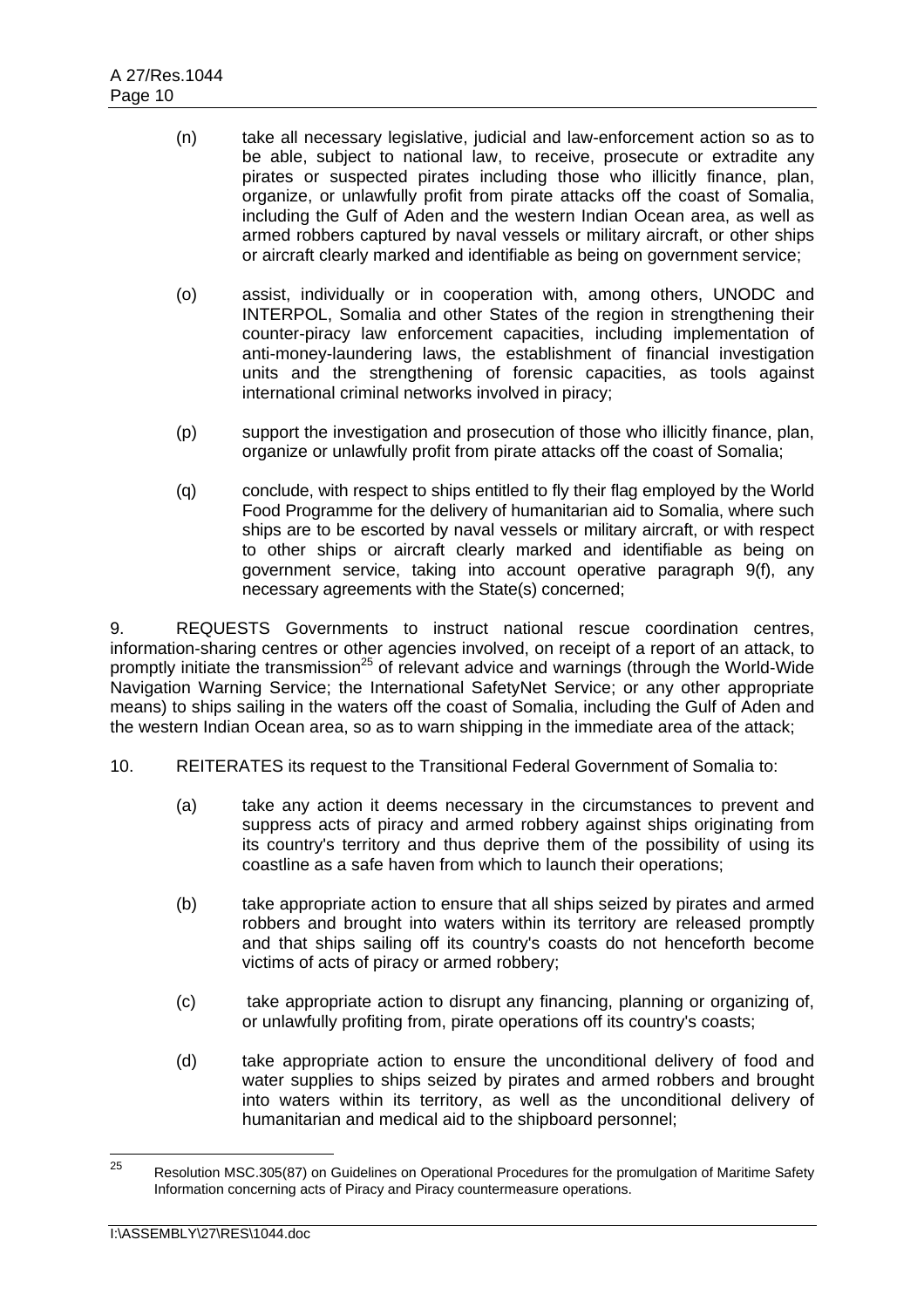- (n) take all necessary legislative, judicial and law-enforcement action so as to be able, subject to national law, to receive, prosecute or extradite any pirates or suspected pirates including those who illicitly finance, plan, organize, or unlawfully profit from pirate attacks off the coast of Somalia, including the Gulf of Aden and the western Indian Ocean area, as well as armed robbers captured by naval vessels or military aircraft, or other ships or aircraft clearly marked and identifiable as being on government service;
- (o) assist, individually or in cooperation with, among others, UNODC and INTERPOL, Somalia and other States of the region in strengthening their counter-piracy law enforcement capacities, including implementation of anti-money-laundering laws, the establishment of financial investigation units and the strengthening of forensic capacities, as tools against international criminal networks involved in piracy;
- (p) support the investigation and prosecution of those who illicitly finance, plan, organize or unlawfully profit from pirate attacks off the coast of Somalia;
- (q) conclude, with respect to ships entitled to fly their flag employed by the World Food Programme for the delivery of humanitarian aid to Somalia, where such ships are to be escorted by naval vessels or military aircraft, or with respect to other ships or aircraft clearly marked and identifiable as being on government service, taking into account operative paragraph 9(f), any necessary agreements with the State(s) concerned;

9. REQUESTS Governments to instruct national rescue coordination centres, information-sharing centres or other agencies involved, on receipt of a report of an attack, to promptly initiate the transmission<sup>25</sup> of relevant advice and warnings (through the World-Wide Navigation Warning Service; the International SafetyNet Service; or any other appropriate means) to ships sailing in the waters off the coast of Somalia, including the Gulf of Aden and the western Indian Ocean area, so as to warn shipping in the immediate area of the attack;

- 10. REITERATES its request to the Transitional Federal Government of Somalia to:
	- (a) take any action it deems necessary in the circumstances to prevent and suppress acts of piracy and armed robbery against ships originating from its country's territory and thus deprive them of the possibility of using its coastline as a safe haven from which to launch their operations;
	- (b) take appropriate action to ensure that all ships seized by pirates and armed robbers and brought into waters within its territory are released promptly and that ships sailing off its country's coasts do not henceforth become victims of acts of piracy or armed robbery;
	- (c) take appropriate action to disrupt any financing, planning or organizing of, or unlawfully profiting from, pirate operations off its country's coasts;
	- (d) take appropriate action to ensure the unconditional delivery of food and water supplies to ships seized by pirates and armed robbers and brought into waters within its territory, as well as the unconditional delivery of humanitarian and medical aid to the shipboard personnel;

<sup>25</sup> 25 Resolution MSC.305(87) on Guidelines on Operational Procedures for the promulgation of Maritime Safety Information concerning acts of Piracy and Piracy countermeasure operations.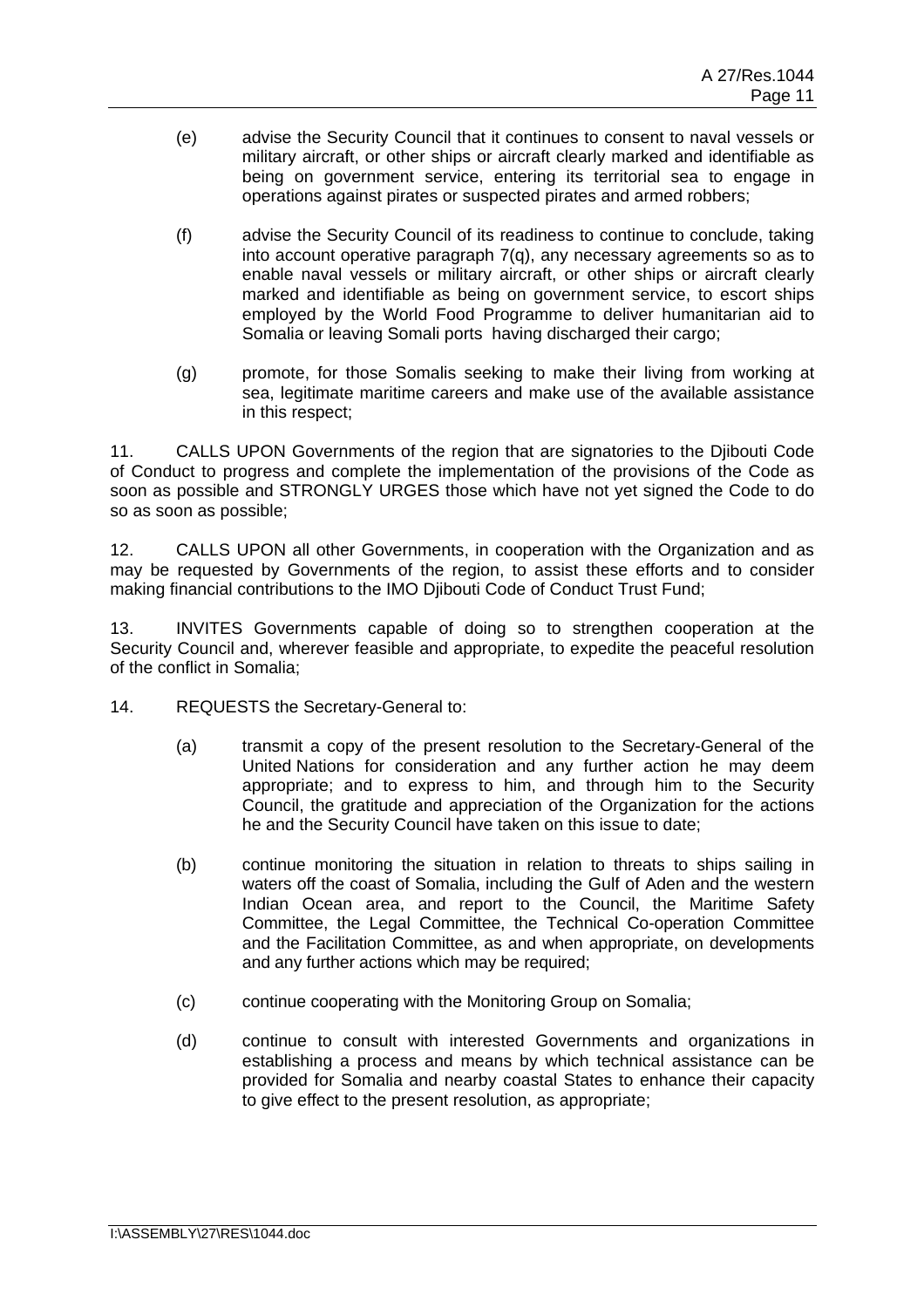- (e) advise the Security Council that it continues to consent to naval vessels or military aircraft, or other ships or aircraft clearly marked and identifiable as being on government service, entering its territorial sea to engage in operations against pirates or suspected pirates and armed robbers;
- (f) advise the Security Council of its readiness to continue to conclude, taking into account operative paragraph 7(q), any necessary agreements so as to enable naval vessels or military aircraft, or other ships or aircraft clearly marked and identifiable as being on government service, to escort ships employed by the World Food Programme to deliver humanitarian aid to Somalia or leaving Somali ports having discharged their cargo;
- (g) promote, for those Somalis seeking to make their living from working at sea, legitimate maritime careers and make use of the available assistance in this respect;

11. CALLS UPON Governments of the region that are signatories to the Djibouti Code of Conduct to progress and complete the implementation of the provisions of the Code as soon as possible and STRONGLY URGES those which have not yet signed the Code to do so as soon as possible;

12. CALLS UPON all other Governments, in cooperation with the Organization and as may be requested by Governments of the region, to assist these efforts and to consider making financial contributions to the IMO Djibouti Code of Conduct Trust Fund;

13. INVITES Governments capable of doing so to strengthen cooperation at the Security Council and, wherever feasible and appropriate, to expedite the peaceful resolution of the conflict in Somalia;

- 14. REQUESTS the Secretary-General to:
	- (a) transmit a copy of the present resolution to the Secretary-General of the United Nations for consideration and any further action he may deem appropriate; and to express to him, and through him to the Security Council, the gratitude and appreciation of the Organization for the actions he and the Security Council have taken on this issue to date;
	- (b) continue monitoring the situation in relation to threats to ships sailing in waters off the coast of Somalia, including the Gulf of Aden and the western Indian Ocean area, and report to the Council, the Maritime Safety Committee, the Legal Committee, the Technical Co-operation Committee and the Facilitation Committee, as and when appropriate, on developments and any further actions which may be required;
	- (c) continue cooperating with the Monitoring Group on Somalia;
	- (d) continue to consult with interested Governments and organizations in establishing a process and means by which technical assistance can be provided for Somalia and nearby coastal States to enhance their capacity to give effect to the present resolution, as appropriate;